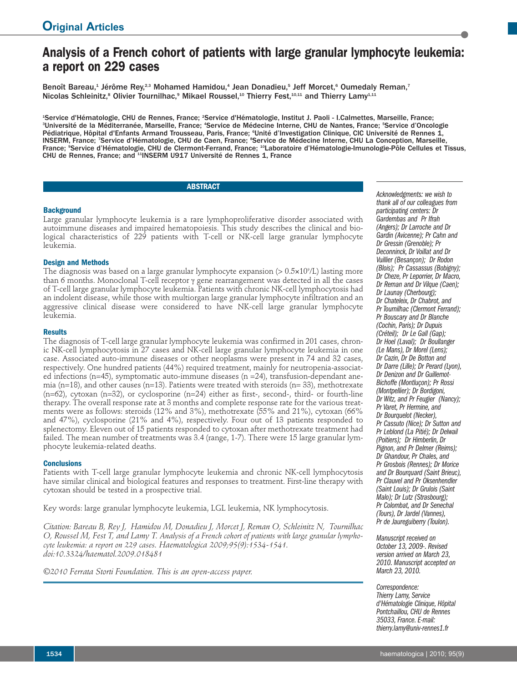# **Analysis of a French cohort of patients with large granular lymphocyte leukemia: a report on 229 cases**

Benoît Bareau,<sup>1</sup> Jérôme Rey,<sup>2,3</sup> Mohamed Hamidou,<sup>4</sup> Jean Donadieu,<sup>5</sup> Jeff Morcet,<sup>6</sup> Oumedaly Reman,<sup>7</sup> Nicolas Schleinitz,<sup>s</sup> Olivier Tournilhac,<sup>9</sup> Mikael Roussel,<sup>10</sup> Thierry Fest,<sup>10,11</sup> and Thierry Lamy<sup>1,11</sup>

<sup>1</sup>Service d'Hématologie, CHU de Rennes, France; <sup>2</sup>Service d'Hématologie, Institut J. Paoli - I.Calmettes, Marseille, France; <sup>3</sup>Université de la Méditerranée, Marseille, France; <sup>4</sup>Service de Médecine Interne, CHU de Nantes, France; <sup>s</sup>Service d'Oncologie Pédiatrique, Hôpital d'Enfants Armand Trousseau, Paris, France; <sup>e</sup>Unité d'Investigation Clinique, CIC Université de Rennes 1, INSERM, France; 7Service d'Hématologie, CHU de Caen, France; <sup>8</sup>Service de Médecine Interne, CHU La Conception, Marseille, France; <sup>9</sup>Service d'Hématologie, CHU de Clermont-Ferrand, France; <sup>10</sup>Laboratoire d'Hématologie-Imunologie-Pôle Cellules et Tissus, CHU de Rennes, France; and <sup>11</sup>INSERM U917 Université de Rennes 1, France

# **ABSTRACT**

# **Background**

Large granular lymphocyte leukemia is a rare lymphoproliferative disorder associated with autoimmune diseases and impaired hematopoiesis. This study describes the clinical and biological characteristics of 229 patients with T-cell or NK-cell large granular lymphocyte leukemia.

# **Design and Methods**

The diagnosis was based on a large granular lymphocyte expansion (>  $0.5\times10^o$ /L) lasting more than 6 months. Monoclonal T-cell receptor γ gene rearrangement was detected in all the cases of T-cell large granular lymphocyte leukemia. Patients with chronic NK-cell lymphocytosis had an indolent disease, while those with multiorgan large granular lymphocyte infiltration and an aggressive clinical disease were considered to have NK-cell large granular lymphocyte leukemia.

# **Results**

The diagnosis of T-cell large granular lymphocyte leukemia was confirmed in 201 cases, chronic NK-cell lymphocytosis in 27 cases and NK-cell large granular lymphocyte leukemia in one case. Associated auto-immune diseases or other neoplasms were present in 74 and 32 cases, respectively. One hundred patients (44%) required treatment, mainly for neutropenia-associated infections (n=45), symptomatic auto-immune diseases (n =24), transfusion-dependant anemia (n=18), and other causes (n=13). Patients were treated with steroids (n= 33), methotrexate (n=62), cytoxan (n=32), or cyclosporine (n=24) either as first-, second-, third- or fourth-line therapy. The overall response rate at 3 months and complete response rate for the various treatments were as follows: steroids (12% and 3%), methotrexate (55% and 21%), cytoxan (66% and 47%), cyclosporine (21% and 4%), respectively. Four out of 13 patients responded to splenectomy. Eleven out of 15 patients responded to cytoxan after methotrexate treatment had failed. The mean number of treatments was 3.4 (range, 1-7). There were 15 large granular lymphocyte leukemia-related deaths.

# **Conclusions**

Patients with T-cell large granular lymphocyte leukemia and chronic NK-cell lymphocytosis have similar clinical and biological features and responses to treatment. First-line therapy with cytoxan should be tested in a prospective trial.

Key words: large granular lymphocyte leukemia, LGL leukemia, NK lymphocytosis.

*Citation: Bareau B, Rey J, Hamidou M, Donadieu J, Morcet J, Reman O, Schleinitz N, Tournilhac* O, Roussel M, Fest T, and Lamy T. Analysis of a French cohort of patients with large granular lympho*cyte leukemia: a report on 229 cases. Haematologica 2009;95(9):1534-1541. doi:10.3324/haematol.2009.018481*

*©2010 Ferrata Storti Foundation. This is an open-access paper.*

*Acknowledgments: we wish to thank all of our colleagues from participating centers: Dr Gardembas and Pr Ifrah (Angers); Dr Larroche and Dr Gardin (Avicenne); Pr Cahn and Dr Gressin (Grenoble); Pr Deconninck, Dr Voillat and Dr Vuillier (Besançon); Dr Rodon (Blois); Pr Cassassus (Bobigny); Dr* Reman and Dr Vilque (Caen); *Dr Launay (Cherbourg); Dr Chateleix, Dr Chabrot, and PrTournilhac (Clermont Ferrand); Pr Bouscary and Dr Blanche (Cochin, Paris); Dr Dupuis (Créteil); Dr Le Gall (Gap); Dr Hoel (Laval); Dr Boullanger (Le Mans), Dr Morel (Lens); Dr Cazin, Dr De Botton and Dr Darre (Lille); Dr Perard (Lyon), Dr Denizon and Dr Guillemot- Bichoffe (Montluçon); Pr Rossi (Montpellier); Dr Bordigoni, Dr Witz, and Pr Feugier (Nancy); Pr Varet, Pr Hermine, and Pr* Cassuto (Nice); Dr Sutton and *Pr Leblond (La Pitié); Dr Delwail (Poitiers); Dr Himberlin, Dr Pignon, and Pr Delmer (Reims); Dr Ghandour, Pr Chales, and Pr Grosbois (Rennes); Dr Morice and Dr Bourquard (Saint Brieuc), Pr Clauvel and Pr Oksenhendler (Saint Louis); Dr Grulois (Saint Malo); Dr Lutz (Strasbourg); Pr Colombat, and Dr Senechal (Tours), Dr Jardel (Vannes), Pr de Jaureguiberry (Toulon).*

*Manuscript received on October 13, 2009-. Revised version arrived on March 23, 2010. Manuscript accepted on March 23, 2010.*

*Correspondence: Thierry Lamy, Service d'Hématologie Clinique, Hôpital Pontchaillou, CHU de Rennes 35033,France.E-mail: thierry.lamy@univ-rennes1.fr*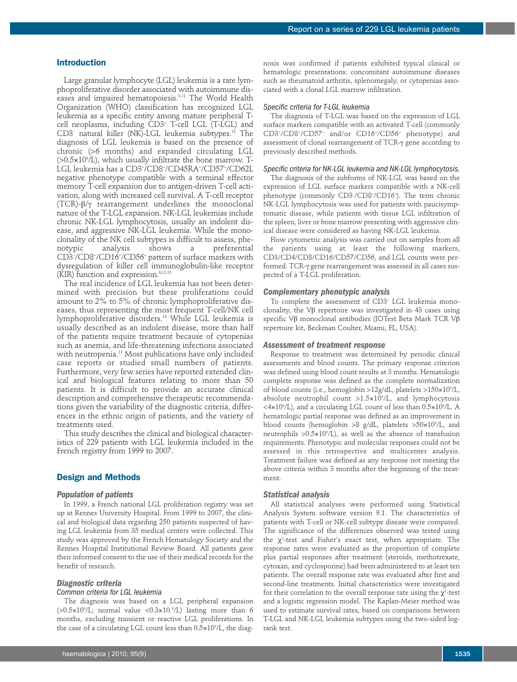## **Introduction**

Large granular lymphocyte (LGL) leukemia is a rare lymphoproliferative disorder associated with autoimmune diseases and impaired hematopoiesis. 1-11 The World Health Organization (WHO) classification has recognized LGL leukemia as a specific entity among mature peripheral Tcell neoplasms, including CD3+ T-cell LGL (T-LGL) and CD3– natural killer (NK)-LGL leukemia subtypes. <sup>12</sup> The diagnosis of LGL leukemia is based on the presence of chronic (>6 months) and expanded circulating LGL (>0.5¥109 /L), which usually infiltrate the bone marrow. T-LGL leukemia has a CD3+ /CD8+ /CD45RA+ /CD57+ /CD62L negative phenotype compatible with a terminal effector memory T-cell expansion due to antigen-driven T-cell activation, along with increased cell survival. A T-cell receptor  $(TCR)$ - $\beta$ /γ rearrangement underlines the monoclonal nature of the T-LGL expansion. NK-LGL leukemias include chronic NK-LGL lymphocytosis, usually an indolent disease, and aggressive NK-LGL leukemia. While the monoclonality of the NK cell subtypes is difficult to assess, phenotypic analysis shows a preferential CD3– /CD8+ /CD16+ /CD56+ pattern of surface markers with dysregulation of killer cell immunoglobulin-like receptor (KIR) function and expression.<sup>6,11,13</sup>

The real incidence of LGL leukemia has not been determined with precision but these proliferations could amount to 2% to 5% of chronic lymphoproliferative diseases, thus representing the most frequent T-cell/NK cell lymphoproliferative disorders. <sup>14</sup> While LGL leukemia is usually described as an indolent disease, more than half of the patients require treatment because of cytopenias such as anemia, and life-threatening infections associated with neutropenia. <sup>11</sup> Most publications have only included case reports or studied small numbers of patients. Furthermore, very few series have reported extended clinical and biological features relating to more than 50 patients. It is difficult to provide an accurate clinical description and comprehensive therapeutic recommendations given the variability of the diagnostic criteria, differences in the ethnic origin of patients, and the variety of treatments used.

This study describes the clinical and biological characteristics of 229 patients with LGL leukemia included in the French registry from 1999 to 2007.

# **Design and Methods**

## *Population of patients*

In 1999, a French national LGL proliferation registry was set up at Rennes University Hospital. From 1999 to 2007, the clinical and biological data regarding 250 patients suspected of having LGL leukemia from 35 medical centers were collected. This study was approved by the French Hematology Society and the Rennes Hospital Institutional Review Board. All patients gave their informed consent to the use of their medical records for the benefit of research.

# *Diagnostic criteria*

# *Common criteria for LGL leukemia*

The diagnosis was based on a LGL peripheral expansion (>0.5¥109 /L; normal value <0.3¥10. 9 /L) lasting more than 6 months, excluding transient or reactive LGL proliferations. In the case of a circulating LGL count less than  $0.5 \times 10^{\circ}/\mathrm{L},$  the diag-

nosis was confirmed if patients exhibited typical clinical or hematologic presentations: concomitant autoimmune diseases such as rheumatoid arthritis, splenomegaly, or cytopenias associated with a clonal LGL marrow infiltration.

## *Specific criteria for T-LGL leukemia*

The diagnosis of T-LGL was based on the expression of LGL surface markers compatible with an activated T-cell (commonly CD3+ /CD8+ /CD57+ and/or CD16+ /CD56+ phenotype) and assessment of clonal rearrangement of TCR-γ gene according to previously described methods.

#### *Specific criteria for NK-LGL leukemia and NK-LGL lymphocytosis.*

The diagnosis of the subforms of NK-LGL was based on the expression of LGL surface markers compatible with a NK-cell phenotype (commonly CD3– /CD8+ /CD16+ ). The term chronic NK-LGL lymphocytosis was used for patients with paucisymptomatic disease, while patients with tissue LGL infiltration of the spleen, liver or bone marrow presenting with aggressive clinical disease were considered as having NK-LGL leukemia.

Flow cytometric analysis was carried out on samples from all the patients using at least the following markers, CD3/CD4/CD8/CD16/CD57/CD56, and LGL counts were performed. TCR-γ gene rearrangement was assessed in all cases suspected of a T-LGL proliferation.

### *Complementary phenotypic analysis*

To complete the assessment of CD3+ LGL leukemia monoclonality, the  $V\beta$  repertoire was investigated in 43 cases using specific V $\beta$  monoclonal antibodies (IOTest Beta Mark TCR V $\beta$ repertoire kit, Beckman Coulter, Miami, FL, USA).

## *Assessment of treatment response*

Response to treatment was determined by periodic clinical assessments and blood counts. The primary response criterion was defined using blood count results at 3 months. Hematologic complete response was defined as the complete normalization of blood counts (i.e., hemoglobin >12g/dL, platelets >150×10°/L, absolute neutrophil count >1.5¥109 /L, and lymphocytosis <4¥109 /L), and a circulating LGL count of less than 0.5¥109 /L. A hematologic partial response was defined as an improvement in blood counts (hemoglobin >8 g/dL, platelets >50×10°/L, and neutrophils >0.5¥109 /L), as well as the absence of transfusion requirements. Phenotypic and molecular responses could not be assessed in this retrospective and multicenter analysis. Treatment failure was defined as any response not meeting the above criteria within 3 months after the beginning of the treatment.

#### *Statistical analysis*

All statistical analyses were performed using Statistical Analysis System software version 9.1. The characteristics of patients with T-cell or NK-cell subtype disease were compared. The significance of the differences observed was tested using the  $\chi^2$ -test and Fisher's exact test, when appropriate. The response rates were evaluated as the proportion of complete plus partial responses after treatment (steroids, methotrexate, cytoxan, and cyclosporine) had been administered to at least ten patients. The overall response rate was evaluated after first and second-line treatments. Initial characteristics were investigated for their correlation to the overall response rate using the  $\chi^{\scriptscriptstyle 2}$ -test and a logistic regression model. The Kaplan-Meier method was used to estimate survival rates, based on comparisons between T-LGL and NK-LGL leukemia subtypes using the two-sided logrank test.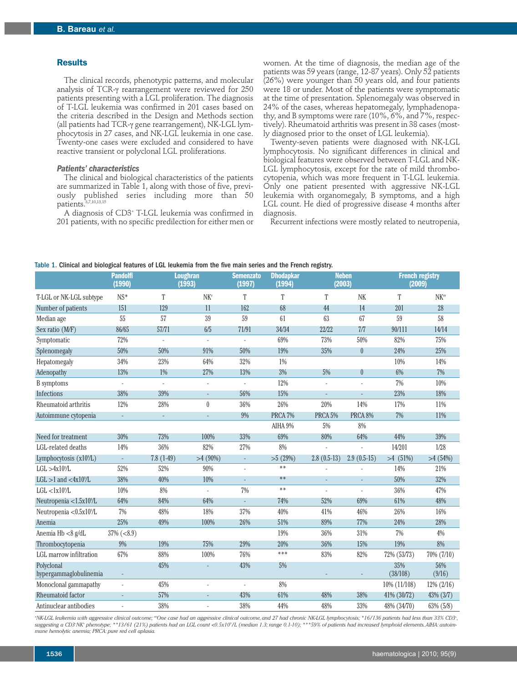# **Results**

The clinical records, phenotypic patterns, and molecular analysis of TCR-γ rearrangement were reviewed for 250 patients presenting with a LGL proliferation. The diagnosis of T-LGL leukemia was confirmed in 201 cases based on the criteria described in the Design and Methods section (all patients had TCR-γ gene rearrangement), NK-LGL lymphocytosis in 27 cases, and NK-LGL leukemia in one case. Twenty-one cases were excluded and considered to have reactive transient or polyclonal LGL proliferations.

## *Patients' characteristics*

The clinical and biological characteristics of the patients are summarized in Table 1, along with those of five, previously published series including more than 50 patients. 3,7,10,13,15

A diagnosis of CD3+ T-LGL leukemia was confirmed in 201 patients, with no specific predilection for either men or

women. At the time of diagnosis, the median age of the patients was 59 years (range, 12-87 years). Only 52 patients (26%) were younger than 50 years old, and four patients were 18 or under. Most of the patients were symptomatic at the time of presentation. Splenomegaly was observed in 24% of the cases, whereas hepatomegaly, lymphadenopathy, and B symptoms were rare (10%, 6%, and 7%, respectively). Rheumatoid arthritis was present in 38 cases (mostly diagnosed prior to the onset of LGL leukemia).

Twenty-seven patients were diagnosed with NK-LGL lymphocytosis. No significant differences in clinical and biological features were observed between T-LGL and NK-LGL lymphocytosis, except for the rate of mild thrombocytopenia, which was more frequent in T-LGL leukemia. Only one patient presented with aggressive NK-LGL leukemia with organomegaly, B symptoms, and a high LGL count. He died of progressive disease 4 months after diagnosis.

Recurrent infections were mostly related to neutropenia,

|  |  |  | Table 1. Clinical and biological features of LGL leukemia from the five main series and the French registry. |  |  |  |  |  |  |  |  |  |  |  |  |  |  |
|--|--|--|--------------------------------------------------------------------------------------------------------------|--|--|--|--|--|--|--|--|--|--|--|--|--|--|
|--|--|--|--------------------------------------------------------------------------------------------------------------|--|--|--|--|--|--|--|--|--|--|--|--|--|--|

|                                              | <b>Pandolfi</b><br>(1990) |             | <b>Loughran</b><br>(1993) | <b>Semenzato</b><br>(1997) | <b>Dhodapkar</b><br>(1994) | (2003)                   | <b>Neben</b>  | <b>French registry</b><br>(2009) |               |  |
|----------------------------------------------|---------------------------|-------------|---------------------------|----------------------------|----------------------------|--------------------------|---------------|----------------------------------|---------------|--|
| T-LGL or NK-LGL subtype                      | $NS*$                     | T           | $NK^*$                    | T                          | T                          | T                        | NK            | T                                | $NK**$        |  |
| Number of patients                           | 151                       | 129         | 11                        | 162                        | 68                         | 44                       | 14            | 201                              | 28            |  |
| Median age                                   | 55                        | 57          | 39                        | 59                         | 61                         | 63                       | 67            | 59                               | 58            |  |
| Sex ratio (M/F)                              | 86/65                     | 57/71       | 6/5                       | 71/91                      | 34/34                      | 22/22                    | 7/7           | 90/111                           | 14/14         |  |
| Symptomatic                                  | 72%                       |             |                           | L.                         | 69%                        | 73%                      | 50%           | 82%                              | 75%           |  |
| Splenomegaly                                 | 50%                       | 50%         | 91%                       | 50%                        | 19%                        | 35%                      | $\pmb{0}$     | 24%                              | 25%           |  |
| Hepatomegaly                                 | 34%                       | 23%         | 64%                       | 32%                        | 1%                         |                          |               | 10%                              | 14%           |  |
| Adenopathy                                   | 13%                       | 1%          | 27%                       | 13%                        | 3%                         | 5%                       | $\theta$      | 6%                               | 7%            |  |
| <b>B</b> symptoms                            |                           |             |                           |                            | 12%                        |                          |               | 7%                               | 10%           |  |
| Infections                                   | 38%                       | 39%         | L,                        | 56%                        | 15%                        |                          |               | 23%                              | 18%           |  |
| Rheumatoid arthritis                         | 12%                       | 28%         | $\theta$                  | 36%                        | 26%                        | 20%                      | 14%           | 17%                              | 11%           |  |
| Autoimmune cytopenia                         |                           |             |                           | 9%                         | PRCA 7%                    | PRCA <sub>5%</sub>       | PRCA 8%       | 7%                               | 11%           |  |
|                                              |                           |             |                           |                            | AIHA 9%                    | 5%                       | 8%            |                                  |               |  |
| Need for treatment                           | 30%                       | 73%         | 100%                      | 33%                        | 69%                        | 80%                      | 64%           | 44%                              | 39%           |  |
| LGL-related deaths                           | 14%                       | 36%         | 82%                       | 27%                        | 8%                         |                          |               | 14/201                           | 1/28          |  |
| Lymphocytosis $(x109/L)$                     | $\mathcal{L}$             | $7.8(1-49)$ | $>4(90\%)$                | $\overline{\phantom{a}}$   | >5(29%)                    | $2.8(0.5-13)$            | $2.9(0.5-15)$ | $>4$ (51%)                       | >4(54%)       |  |
| $LGL > 4x10^9/L$                             | 52%                       | 52%         | 90%                       | Ĭ.                         | $**$                       |                          |               | 14%                              | 21%           |  |
| $LGL > 1$ and $\langle 4x10^9/L$             | 38%                       | 40%         | 10%                       | $\overline{\phantom{a}}$   | $***$                      | $\overline{\phantom{a}}$ | ÷,            | 50%                              | 32%           |  |
| LGL < 1x10 <sup>9</sup> /L                   | 10%                       | 8%          | ä,                        | 7%                         | $***$                      |                          | ä,            | 36%                              | 47%           |  |
| Neutropenia $<$ 1.5 $\times$ 10 $^{\circ}/L$ | 64%                       | 84%         | 64%                       | $\bar{a}$                  | 74%                        | 52%                      | 69%           | 61%                              | 48%           |  |
| Neutropenia <0.5x10 <sup>9</sup> /L          | 7%                        | 48%         | 18%                       | 37%                        | 40%                        | 41%                      | 46%           | 26%                              | 16%           |  |
| Anemia                                       | 25%                       | 49%         | 100%                      | 26%                        | 51%                        | 89%                      | 77%           | 24%                              | 28%           |  |
| Anemia Hb <8 g/dL                            | $37\%$ (<8.9)             |             |                           |                            | 19%                        | 36%                      | 31%           | 7%                               | 4%            |  |
| Thrombocytopenia                             | 9%                        | 19%         | 75%                       | 29%                        | 20%                        | 36%                      | 15%           | 19%                              | 8%            |  |
| LGL marrow infiltration                      | 67%                       | 88%         | 100%                      | 76%                        | ***                        | 83%                      | 82%           | 72% (53/73)                      | 70% (7/10)    |  |
| Polyclonal                                   |                           | 45%         |                           | 43%                        | 5%                         |                          |               | 35%                              | 56%           |  |
| hypergammaglobulinemia                       |                           |             |                           |                            |                            |                          |               | (38/108)                         | (9/16)        |  |
| Monoclonal gammapathy                        |                           | 45%         | L,                        | $\overline{a}$             | 8%                         |                          |               | $10\%$ (11/108)                  | $12\% (2/16)$ |  |
| Rheumatoid factor                            |                           | 57%         |                           | 43%                        | 61%                        | 48%                      | 38%           | 41% (30/72)                      | 43% (3/7)     |  |
| Antinuclear antibodies                       |                           | 38%         |                           | 38%                        | 44%                        | 48%                      | 33%           | 48% (34/70)                      | 63% (5/8)     |  |

"NK-LGL leukemia with aggressive clinical outcome; "One case had an aggressive clinical outcome, and 27 had chronic NK-LGL lymphocytosis; \*16/136 patients had less than 33% CD3\*, suggesting a CD3 NK+ phenotype; \*\*13/61 (21%) patients had an LGL count <0.5x10°/L (median 1.3; range 0.1-10); \*\*\*59% of patients had increased lymphoid elements. AlHA: autoim*mune hemolytic anemia; PRCA: pure red cell aplasia.*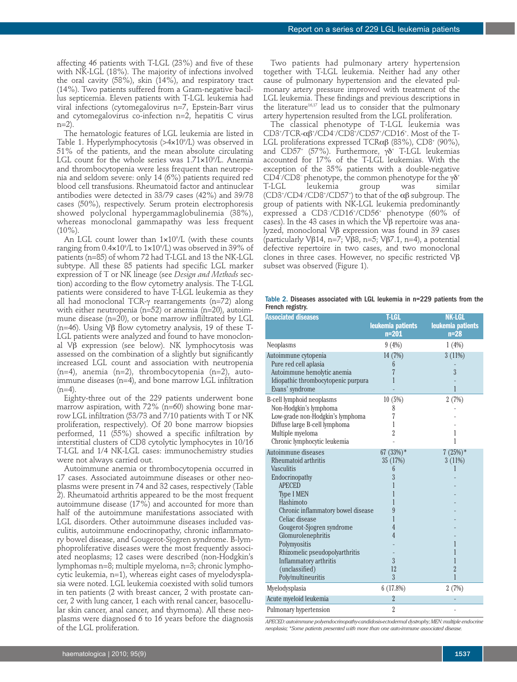affecting 46 patients with T-LGL (23%) and five of these with NK-LGL (18%). The majority of infections involved the oral cavity (58%), skin (14%), and respiratory tract (14%). Two patients suffered from a Gram-negative bacillus septicemia. Eleven patients with T-LGL leukemia had viral infections (cytomegalovirus n=7, Epstein-Barr virus and cytomegalovirus co-infection n=2, hepatitis C virus n=2).

The hematologic features of LGL leukemia are listed in Table 1. Hyperlymphocytosis (>4×10°/L) was observed in 51% of the patients, and the mean absolute circulating LGL count for the whole series was  $1.71\times10^9$ /L. Anemia and thrombocytopenia were less frequent than neutropenia and seldom severe: only 14 (6%) patients required red blood cell transfusions. Rheumatoid factor and antinuclear antibodies were detected in 33/79 cases (42%) and 39/78 cases (50%), respectively. Serum protein electrophoresis showed polyclonal hypergammaglobulinemia (38%), whereas monoclonal gammapathy was less frequent  $(10\%)$ 

An LGL count lower than  $1\times10^9$ /L (with these counts ranging from 0.4¥109 /L to 1¥109 /L) was observed in 39% of patients (n=85) of whom 72 had T-LGL and 13 the NK-LGL subtype. All these 85 patients had specific LGL marker expression of T or NK lineage (see *Design and Methods* section) according to the flow cytometry analysis. The T-LGL patients were considered to have T-LGL leukemia as they all had monoclonal TCR-γ rearrangements (n=72) along with either neutropenia (n=52) or anemia (n=20), autoimmune disease (n=20), or bone marrow infliltrated by LGL (n=46). Using V $\beta$  flow cytometry analysis, 19 of these T-LGL patients were analyzed and found to have monoclonal  $V\beta$  expression (see below). NK lymphocytosis was assessed on the combination of a slightly but significantly increased LGL count and association with neutropenia (n=4), anemia (n=2), thrombocytopenia (n=2), autoimmune diseases (n=4), and bone marrow LGL infiltration  $(n=4)$ .

Eighty-three out of the 229 patients underwent bone marrow aspiration, with 72% (n=60) showing bone marrow LGL infiltration (53/73 and 7/10 patients with T or NK proliferation, respectively). Of 20 bone marrow biopsies performed, 11 (55%) showed a specific infiltration by interstitial clusters of CD8 cytolytic lymphocytes in 10/16 T-LGL and 1/4 NK-LGL cases: immunochemistry studies were not always carried out.

Autoimmune anemia or thrombocytopenia occurred in 17 cases. Associated autoimmune diseases or other neoplasms were present in 74 and 32 cases, respectively (Table 2). Rheumatoid arthritis appeared to be the most frequent autoimmune disease (17%) and accounted for more than half of the autoimmune manifestations associated with LGL disorders. Other autoimmune diseases included vasculitis, autoimmune endocrinopathy, chronic inflammatory bowel disease, and Gougerot-Sjogren syndrome. B-lymphoproliferative diseases were the most frequently associated neoplasms; 12 cases were described (non-Hodgkin's lymphomas n=8; multiple myeloma, n=3; chronic lymphocytic leukemia, n=1), whereas eight cases of myelodysplasia were noted. LGL leukemia coexisted with solid tumors in ten patients (2 with breast cancer, 2 with prostate cancer, 2 with lung cancer, 1 each with renal cancer, basocellular skin cancer, anal cancer, and thymoma). All these neoplasms were diagnosed 6 to 16 years before the diagnosis of the LGL proliferation.

Two patients had pulmonary artery hypertension together with T-LGL leukemia. Neither had any other cause of pulmonary hypertension and the elevated pulmonary artery pressure improved with treatment of the LGL leukemia. These findings and previous descriptions in the literature<sup>16,17</sup> lead us to consider that the pulmonary artery hypertension resulted from the LGL proliferation.

The classical phenotype of T-LGL leukemia was  $CD3^{\circ}/TCR$ -αβ $^{\circ}/CD4^{\circ}/CD8^{\circ}/CD57^{\circ}/CD16^{\circ}$ . Most of the T-LGL proliferations expressed  $TCR\alpha\beta$  (83%), CD8<sup>+</sup> (90%), and CD57<sup>+</sup> (57%). Furthermore,  $γδ<sup>+</sup> T-LGL$  leukemias accounted for 17% of the T-LGL leukemias. With the exception of the 35% patients with a double-negative CD4– /CD8– phenotype, the common phenotype for the γδ<sup>+</sup> T-LGL leukemia group was similar (CD3+/CD4-/CD8+/CD57+) to that of the αβ subgroup. The group of patients with NK-LGL leukemia predominantly expressed a CD3– /CD16+ /CD56+ phenotype (60% of cases). In the 43 cases in which the  $\nabla \beta$  repertoire was analyzed, monoclonal  $V\beta$  expression was found in 39 cases (particularly V $\beta$ 14, n=7; V $\beta$ 8, n=5; V $\beta$ 7.1, n=4), a potential defective repertoire in two cases, and two monoclonal clones in three cases. However, no specific restricted  $\forall \beta$ subset was observed (Figure 1).

Table 2. Diseases associated with LGL leukemia in n=229 patients from the French registry.

| <b>Associated diseases</b>          | <b>T-LGL</b><br>leukemia patients<br>$n = 201$ | <b>NK-LGL</b><br>leukemia patients<br>$n=28$ |
|-------------------------------------|------------------------------------------------|----------------------------------------------|
| Neoplasms                           | 9(4%)                                          | 1(4%)                                        |
| Autoimmune cytopenia                | 14 (7%)                                        | 3(11%)                                       |
| Pure red cell aplasia               | 6                                              |                                              |
| Autoimmune hemolytic anemia         |                                                | 3                                            |
| Idiopathic thrombocytopenic purpura |                                                |                                              |
| Evans' syndrome                     |                                                | $\mathbf{1}$                                 |
| B-cell lymphoid neoplasms           | 10(5%)                                         | 2(7%)                                        |
| Non-Hodgkin's lymphoma              | 8                                              |                                              |
| Low-grade non-Hodgkin's lymphoma    | 7                                              |                                              |
| Diffuse large B-cell lymphoma       | 1                                              |                                              |
| Multiple myeloma                    | $\overline{2}$                                 | 1                                            |
| Chronic lymphocytic leukemia        |                                                | 1                                            |
| Autoimmune diseases                 | $67(33%)$ *                                    | $7(25%)$ *                                   |
| Rheumatoid arthritis                | 35 (17%)                                       | 3(11%)                                       |
| <b>Vasculitis</b>                   | 6                                              | 1                                            |
| Endocrinopathy                      | $\overline{3}$                                 |                                              |
| <b>APECED</b>                       |                                                |                                              |
| Type I MEN                          |                                                |                                              |
| Hashimoto                           |                                                |                                              |
| Chronic inflammatory bowel disease  | 9                                              |                                              |
| Celiac disease                      | 1                                              |                                              |
| Gougerot-Sjogren syndrome           | $\overline{4}$                                 |                                              |
| Glomurolenephritis                  | $\overline{4}$                                 |                                              |
| Polymyositis                        |                                                | 1                                            |
| Rhizomelic pseudopolyarthritis      |                                                | 1                                            |
| Inflammatory arthritis              | 3                                              |                                              |
| (unclassified)                      | 12<br>$\overline{3}$                           | $\overline{2}$<br>1                          |
| Poly/multineuritis                  |                                                |                                              |
| Myelodysplasia                      | 6(17.8%)                                       | 2(7%)                                        |
| Acute myeloid leukemia              | $\overline{2}$                                 |                                              |
| Pulmonary hypertension              | $\overline{2}$                                 |                                              |

*APECED:autoimmune polyendocrinopathy-candidosis-ectodermal dystrophy;MEN:multiple endocrine neoplasia; \*Some patients presented with more than one auto-immune associated disease.*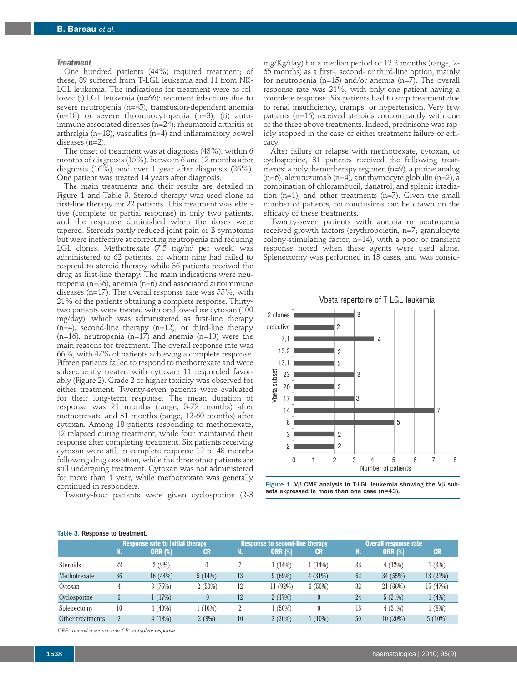#### *Treatment*

One hundred patients (44%) required treatment; of these, 89 suffered from T-LGL leukemia and 11 from NK-LGL leukemia. The indications for treatment were as follows: (i) LGL leukemia (n=66): recurrent infections due to severe neutropenia (n=45), transfusion-dependent anemia  $(n=18)$  or severe thrombocytopenia  $(n=3)$ ; (ii) autoimmune associated diseases (n=24): rheumatoid arthritis or arthralgia (n=18), vasculitis (n=4) and inflammatory bowel diseases (n=2).

The onset of treatment was at diagnosis (43%), within 6 months of diagnosis (15%), between 6 and 12 months after diagnosis (16%), and over 1 year after diagnosis (26%). One patient was treated 14 years after diagnosis.

The main treatments and their results are detailed in Figure 1 and Table 3. Steroid therapy was used alone as first-line therapy for 22 patients. This treatment was effective (complete or partial response) in only two patients, and the response diminished when the doses were tapered. Steroids partly reduced joint pain or B symptoms but were ineffective at correcting neutropenia and reducing LGL clones. Methotrexate  $(7.5 \text{ mg/m}^2)$  per week) was administered to 62 patients, of whom nine had failed to respond to steroid therapy while 36 patients received the drug as first-line therapy. The main indications were neutropenia (n=36), anemia (n=6) and associated autoimmune diseases (n=17). The overall response rate was 55%, with 21% of the patients obtaining a complete response. Thirtytwo patients were treated with oral low-dose cytoxan (100 mg/day), which was administered as first-line therapy (n=4), second-line therapy (n=12), or third-line therapy  $(n=16)$ : neutropenia  $(n=17)$  and anemia  $(n=10)$  were the main reasons for treatment. The overall response rate was 66%, with 47% of patients achieving a complete response. Fifteen patients failed to respond to methotrexate and were subsequently treated with cytoxan: 11 responded favorably (Figure 2). Grade 2 or higher toxicity was observed for either treatment. Twenty-seven patients were evaluated for their long-term response. The mean duration of response was 21 months (range, 3-72 months) after methotrexate and 31 months (range, 12-60 months) after cytoxan. Among 18 patients responding to methotrexate, 12 relapsed during treatment, while four maintained their response after completing treatment. Six patients receiving cytoxan were still in complete response 12 to 48 months following drug cessation, while the three other patients are still undergoing treatment. Cytoxan was not administered for more than 1 year, while methotrexate was generally continued in responders.

Twenty-four patients were given cyclosporine (2-3

mg/Kg/day) for a median period of 12.2 months (range, 2- 65 months) as a first-, second- or third-line option, mainly for neutropenia (n=15) and/or anemia (n=7). The overall response rate was 21%, with only one patient having a complete response. Six patients had to stop treatment due to renal insufficiency, cramps, or hypertension. Very few patients (n=16) received steroids concomitantly with one of the three above treatments. Indeed, prednisone was rapidly stopped in the case of either treatment failure or efficacy.

After failure or relapse with methotrexate, cytoxan, or cyclosporine, 31 patients received the following treatments: a polychemotherapy regimen (n=9), a purine analog (n=6), alemtuzumab (n=4), antithymocyte globulin (n=2), a combination of chlorambucil, danatrol, and splenic irradiation (n=1), and other treatments (n=7). Given the small number of patients, no conclusions can be drawn on the efficacy of these treatments.

Twenty-seven patients with anemia or neutropenia received growth factors (erythropoietin, n=7; granulocyte colony-stimulating factor, n=14), with a poor or transient response noted when these agents were used alone. Splenectomy was performed in 13 cases, and was consid-



Figure 1. V $\beta$  CMF analysis in T-LGL leukemia showing the V $\beta$  subsets expressed in more than one case (n=43).

|  |  |  | Table 3. Response to treatment. |  |
|--|--|--|---------------------------------|--|
|--|--|--|---------------------------------|--|

|                  |                | <b>Response rate to initial therapy</b> |           |    | Response to second-line therapy |           |    | <b>Overall response rate</b> |           |
|------------------|----------------|-----------------------------------------|-----------|----|---------------------------------|-----------|----|------------------------------|-----------|
|                  | N.             | <b>ORR (%)</b>                          | <b>CR</b> | N. | <b>ORR (%)</b>                  | <b>CR</b> | N. | <b>ORR (%)</b>               | <b>CR</b> |
| Steroids         | 22             | 2(9%)                                   | $\theta$  |    | $(14\%)$                        | 1 (14%)   | 33 | 4(12%)                       | 1(3%)     |
| Methotrexate     | 36             | 16(44%)                                 | 5(14%)    | 13 | 9(69%)                          | 4(31%)    | 62 | 34 (55%)                     | 13 (21%)  |
| Cytoxan          |                | 3(75%)                                  | 2(50%)    | 12 | 11 (92%)                        | 6(50%)    | 32 | 21(66%)                      | 15 (47%)  |
| Cyclosporine     | b              | (17%)                                   |           | 12 | 2(17%)                          |           | 24 | 5(21%)                       | $(4\%)$   |
| Splenectomy      | 10             | $4(40\%)$                               | $(10\%)$  | 4  | (50%)                           |           | 13 | 4(31%)                       | 1(8%)     |
| Other treatments | $\overline{2}$ | 4(18%)                                  | 2(9%)     | 10 | 2(20%)                          | $1(10\%)$ | 50 | 10(20%)                      | $5(10\%)$ |

*ORR : overall response rate,CR : complete response.*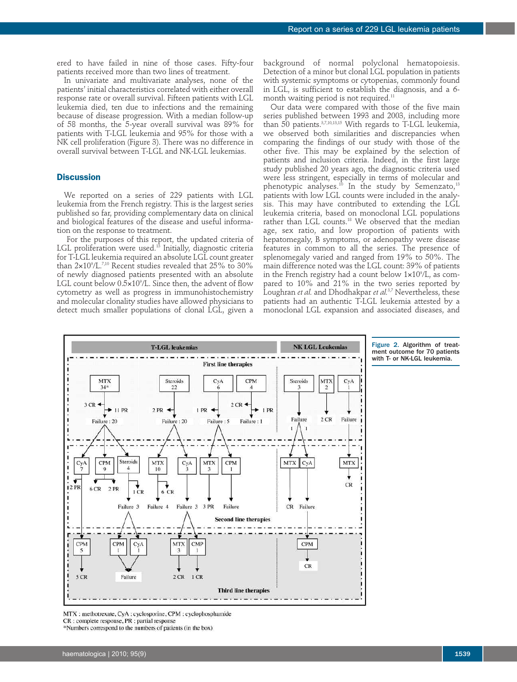ered to have failed in nine of those cases. Fifty-four patients received more than two lines of treatment.

In univariate and multivariate analyses, none of the patients' initial characteristics correlated with either overall response rate or overall survival. Fifteen patients with LGL leukemia died, ten due to infections and the remaining because of disease progression. With a median follow-up of 58 months, the 5-year overall survival was 89% for patients with T-LGL leukemia and 95% for those with a NK cell proliferation (Figure 3). There was no difference in overall survival between T-LGL and NK-LGL leukemias.

## **Discussion**

We reported on a series of 229 patients with LGL leukemia from the French registry. This is the largest series published so far, providing complementary data on clinical and biological features of the disease and useful information on the response to treatment.

For the purposes of this report, the updated criteria of LGL proliferation were used. <sup>13</sup> Initially, diagnostic criteria for T-LGL leukemia required an absolute LGL count greater than  $2\times10^9/\text{L}^{7,10}$  Recent studies revealed that  $25\%$  to  $30\%$ of newly diagnosed patients presented with an absolute LGL count below  $0.5 \times 10^{\circ}$ /L. Since then, the advent of flow cytometry as well as progress in immunohistochemistry and molecular clonality studies have allowed physicians to detect much smaller populations of clonal LGL, given a

background of normal polyclonal hematopoiesis. Detection of a minor but clonal LGL population in patients with systemic symptoms or cytopenias, commonly found in LGL, is sufficient to establish the diagnosis, and a 6 month waiting period is not required. 11

Our data were compared with those of the five main series published between 1993 and 2003, including more than 50 patients.<sup>3,7,10,13,15</sup> With regards to T-LGL leukemia, we observed both similarities and discrepancies when comparing the findings of our study with those of the other five. This may be explained by the selection of patients and inclusion criteria. Indeed, in the first large study published 20 years ago, the diagnostic criteria used were less stringent, especially in terms of molecular and phenotypic analyses. $^{\scriptscriptstyle 10}$  In the study by Semenzato, $^{\scriptscriptstyle 13}$ patients with low LGL counts were included in the analysis. This may have contributed to extending the LGL leukemia criteria, based on monoclonal LGL populations rather than LGL counts. <sup>18</sup> We observed that the median age, sex ratio, and low proportion of patients with hepatomegaly, B symptoms, or adenopathy were disease features in common to all the series. The presence of splenomegaly varied and ranged from 19% to 50%. The main difference noted was the LGL count: 39% of patients in the French registry had a count below  $1 \times 10^{\circ}/\mathrm{L},$  as compared to 10% and 21% in the two series reported by Loughran *et al.* and Dhodhakpar *et al.* 3,7 Nevertheless, these patients had an authentic T-LGL leukemia attested by a monoclonal LGL expansion and associated diseases, and



Figure 2. Algorithm of treatment outcome for 70 patients with T- or NK-LGL leukemia.

MTX: methotrexate, CyA: cyclosporine, CPM: cyclophosphamide CR : complete response, PR : partial response \*Numbers correspond to the numbers of patients (in the box)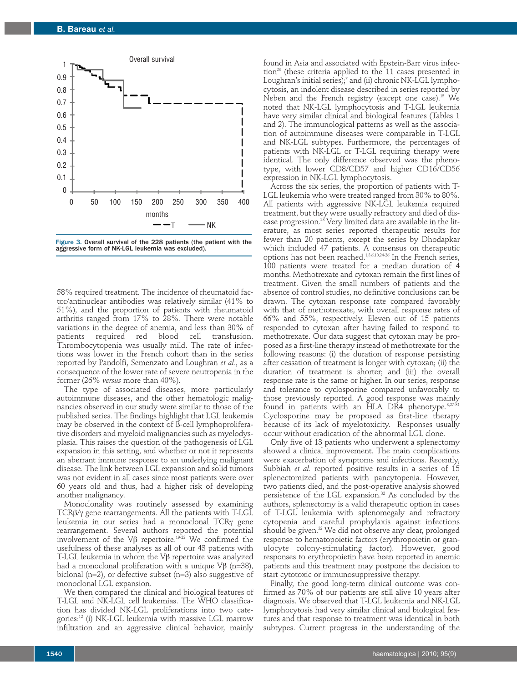

Figure 3. Overall survival of the 228 patients (the patient with the aggressive form of NK-LGL leukemia was excluded).

58% required treatment. The incidence of rheumatoid factor/antinuclear antibodies was relatively similar (41% to 51%), and the proportion of patients with rheumatoid arthritis ranged from 17% to 28%. There were notable variations in the degree of anemia, and less than 30% of blood cell transfusion. Thrombocytopenia was usually mild. The rate of infections was lower in the French cohort than in the series reported by Pandolfi, Semenzato and Loughran *et al.*, as a consequence of the lower rate of severe neutropenia in the former (26% *versus* more than 40%).

The type of associated diseases, more particularly autoimmune diseases, and the other hematologic malignancies observed in our study were similar to those of the published series. The findings highlight that LGL leukemia may be observed in the context of B-cell lymphoproliferative disorders and myeloid malignancies such as myelodysplasia. This raises the question of the pathogenesis of LGL expansion in this setting, and whether or not it represents an aberrant immune response to an underlying malignant disease. The link between LGL expansion and solid tumors was not evident in all cases since most patients were over 60 years old and thus, had a higher risk of developing another malignancy.

Monoclonality was routinely assessed by examining TCRb/γ gene rearrangements. All the patients with T-LGL leukemia in our series had a monoclonal TCRγ gene rearrangement. Several authors reported the potential involvement of the Vß repertoire. $^{19\cdot 22}$  We confirmed the usefulness of these analyses as all of our 43 patients with T-LGL leukemia in whom the  $V\beta$  repertoire was analyzed had a monoclonal proliferation with a unique  $\forall \beta$  (n=38), biclonal (n=2), or defective subset (n=3) also suggestive of monoclonal LGL expansion.

We then compared the clinical and biological features of T-LGL and NK-LGL cell leukemias. The WHO classification has divided NK-LGL proliferations into two categories: <sup>12</sup> (i) NK-LGL leukemia with massive LGL marrow infiltration and an aggressive clinical behavior, mainly

found in Asia and associated with Epstein-Barr virus infection<sup>23</sup> (these criteria applied to the 11 cases presented in Loughran's initial series); <sup>7</sup> and (ii) chronic NK-LGL lymphocytosis, an indolent disease described in series reported by Neben and the French registry (except one case). <sup>15</sup> We noted that NK-LGL lymphocytosis and T-LGL leukemia have very similar clinical and biological features (Tables 1 and 2). The immunological patterns as well as the association of autoimmune diseases were comparable in T-LGL and NK-LGL subtypes. Furthermore, the percentages of patients with NK-LGL or T-LGL requiring therapy were identical. The only difference observed was the phenotype, with lower CD8/CD57 and higher CD16/CD56 expression in NK-LGL lymphocytosis.

Across the six series, the proportion of patients with T-LGL leukemia who were treated ranged from 30% to 80%. All patients with aggressive NK-LGL leukemia required treatment, but they were usually refractory and died of disease progression. <sup>23</sup> Very limited data are available in the literature, as most series reported therapeutic results for fewer than 20 patients, except the series by Dhodapkar which included 47 patients. A consensus on therapeutic options has not been reached. 1,3,6,10,24-26 In the French series, 100 patients were treated for a median duration of 4 months. Methotrexate and cytoxan remain the first lines of treatment. Given the small numbers of patients and the absence of control studies, no definitive conclusions can be drawn. The cytoxan response rate compared favorably with that of methotrexate, with overall response rates of 66% and 55%, respectively. Eleven out of 15 patients responded to cytoxan after having failed to respond to methotrexate. Our data suggest that cytoxan may be proposed as a first-line therapy instead of methotrexate for the following reasons: (i) the duration of response persisting after cessation of treatment is longer with cytoxan; (ii) the duration of treatment is shorter; and (iii) the overall response rate is the same or higher. In our series, response and tolerance to cyclosporine compared unfavorably to those previously reported. A good response was mainly found in patients with an HLA DR4 phenotype.<sup>3,27-31</sup> Cyclosporine may be proposed as first-line therapy because of its lack of myelotoxicity. Responses usually occur without eradication of the abnormal LGL clone.

Only five of 13 patients who underwent a splenectomy showed a clinical improvement. The main complications were exacerbation of symptoms and infections. Recently, Subbiah *et al.* reported positive results in a series of 15 splenectomized patients with pancytopenia. However, two patients died, and the post-operative analysis showed persistence of the LGL expansion. <sup>32</sup> As concluded by the authors, splenectomy is a valid therapeutic option in cases of T-LGL leukemia with splenomegaly and refractory cytopenia and careful prophylaxis against infections should be given. <sup>32</sup> We did not observe any clear, prolonged response to hematopoietic factors (erythropoietin or granulocyte colony-stimulating factor). However, good responses to erythropoietin have been reported in anemic patients and this treatment may postpone the decision to start cytotoxic or immunosuppressive therapy.

Finally, the good long-term clinical outcome was confirmed as 70% of our patients are still alive 10 years after diagnosis. We observed that T-LGL leukemia and NK-LGL lymphocytosis had very similar clinical and biological features and that response to treatment was identical in both subtypes. Current progress in the understanding of the